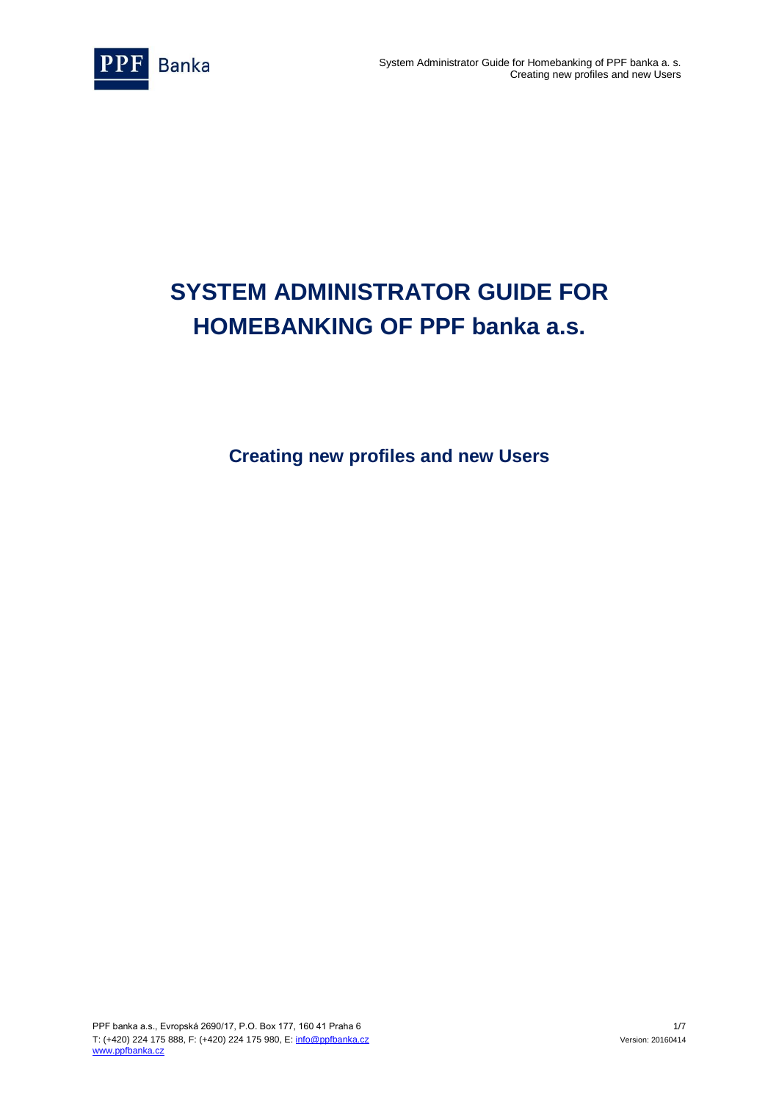

# **SYSTEM ADMINISTRATOR GUIDE FOR HOMEBANKING OF PPF banka a.s.**

**Creating new profiles and new Users**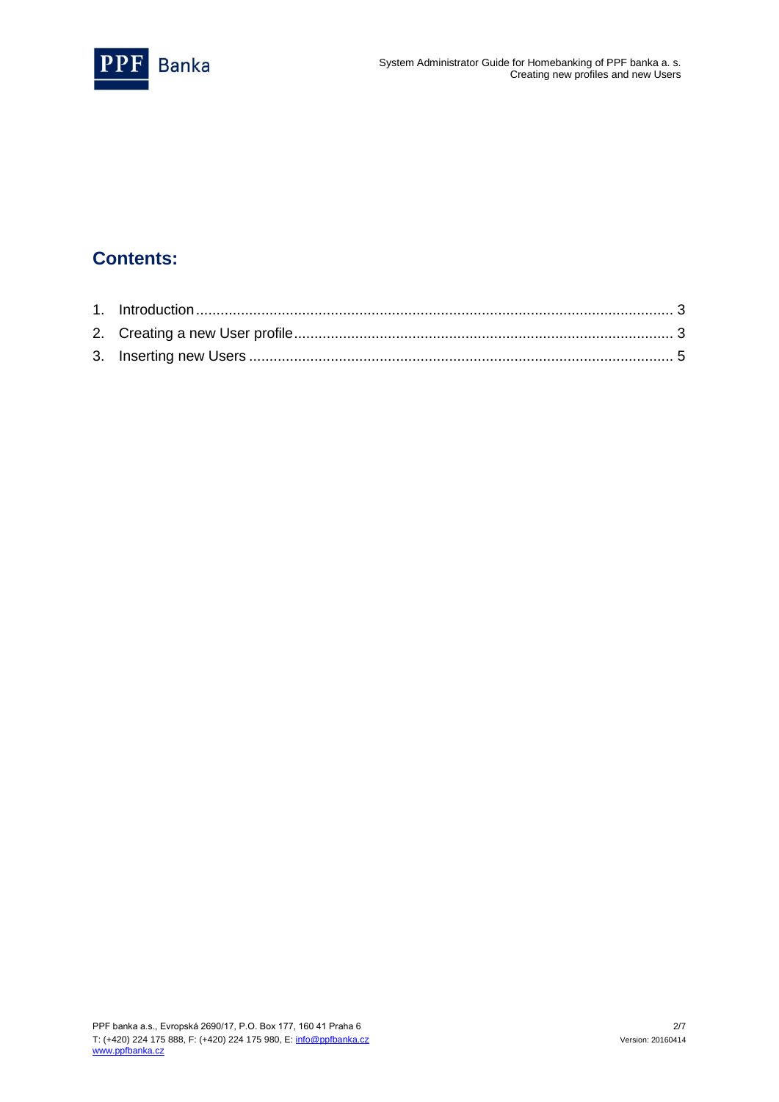

### **Contents:**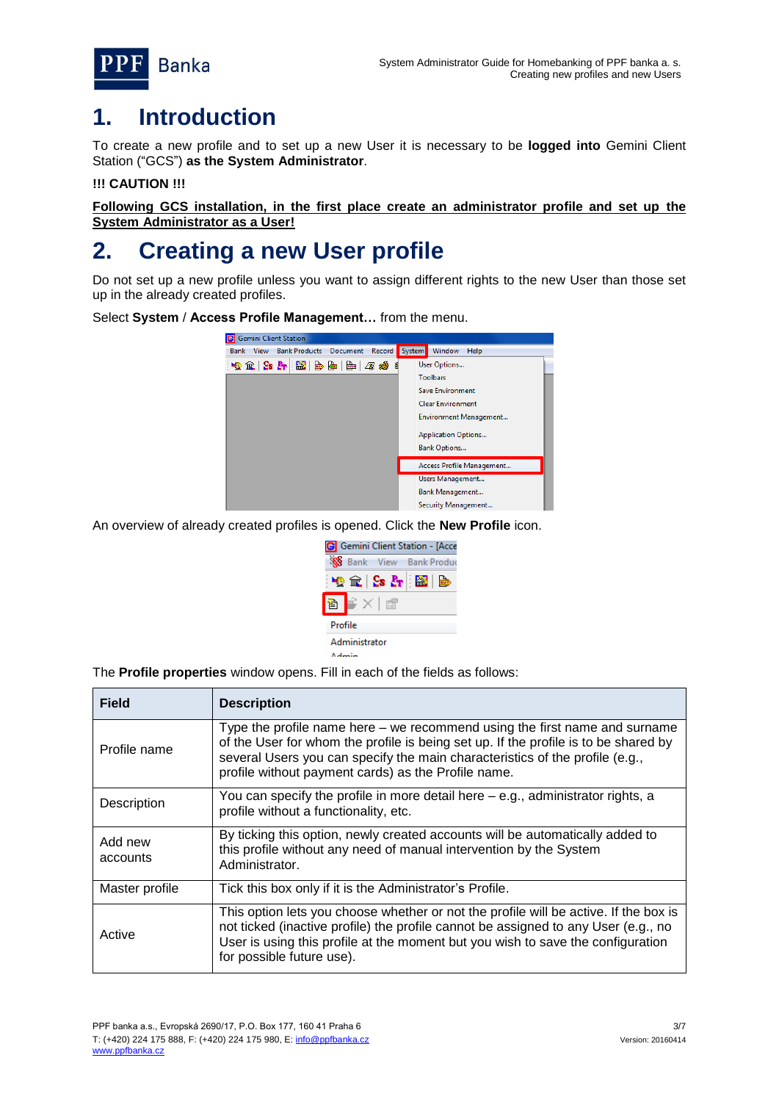

### <span id="page-2-0"></span>**1. Introduction**

To create a new profile and to set up a new User it is necessary to be **logged into** Gemini Client Station ("GCS") **as the System Administrator**.

#### **!!! CAUTION !!!**

**Following GCS installation, in the first place create an administrator profile and set up the System Administrator as a User!**

## <span id="page-2-1"></span>**2. Creating a new User profile**

Do not set up a new profile unless you want to assign different rights to the new User than those set up in the already created profiles.

Select **System** / **Access Profile Management…** from the menu.



An overview of already created profiles is opened. Click the **New Profile** icon.



The **Profile properties** window opens. Fill in each of the fields as follows:

| <b>Field</b>        | <b>Description</b>                                                                                                                                                                                                                                                                                       |
|---------------------|----------------------------------------------------------------------------------------------------------------------------------------------------------------------------------------------------------------------------------------------------------------------------------------------------------|
| Profile name        | Type the profile name here – we recommend using the first name and surname<br>of the User for whom the profile is being set up. If the profile is to be shared by<br>several Users you can specify the main characteristics of the profile (e.g.,<br>profile without payment cards) as the Profile name. |
| Description         | You can specify the profile in more detail here – e.g., administrator rights, a<br>profile without a functionality, etc.                                                                                                                                                                                 |
| Add new<br>accounts | By ticking this option, newly created accounts will be automatically added to<br>this profile without any need of manual intervention by the System<br>Administrator.                                                                                                                                    |
| Master profile      | Tick this box only if it is the Administrator's Profile.                                                                                                                                                                                                                                                 |
| Active              | This option lets you choose whether or not the profile will be active. If the box is<br>not ticked (inactive profile) the profile cannot be assigned to any User (e.g., no<br>User is using this profile at the moment but you wish to save the configuration<br>for possible future use).               |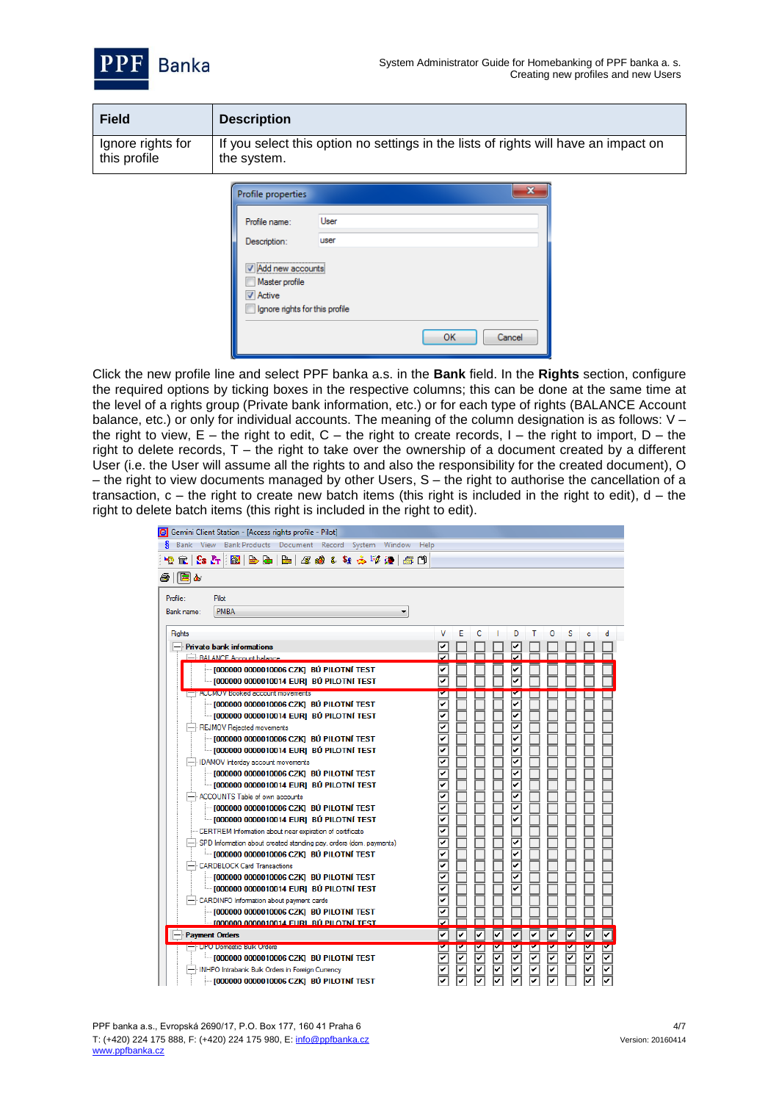



| <b>Field</b>      | <b>Description</b>                                                                  |
|-------------------|-------------------------------------------------------------------------------------|
| Ignore rights for | If you select this option no settings in the lists of rights will have an impact on |
| this profile      | the system.                                                                         |

| Profile properties                                                                      |              |
|-----------------------------------------------------------------------------------------|--------------|
| Profile name:                                                                           | User         |
| Description:                                                                            | user         |
| Add new accounts<br>Master profile<br><b>V</b> Active<br>Ignore rights for this profile |              |
|                                                                                         | OK<br>Cancel |

Click the new profile line and select PPF banka a.s. in the **Bank** field. In the **Rights** section, configure the required options by ticking boxes in the respective columns; this can be done at the same time at the level of a rights group (Private bank information, etc.) or for each type of rights (BALANCE Account balance, etc.) or only for individual accounts. The meaning of the column designation is as follows: V the right to view,  $E$  – the right to edit,  $C$  – the right to create records, I – the right to import, D – the right to delete records, T – the right to take over the ownership of a document created by a different User (i.e. the User will assume all the rights to and also the responsibility for the created document), O – the right to view documents managed by other Users,  $S$  – the right to authorise the cancellation of a transaction,  $c$  – the right to create new batch items (this right is included in the right to edit),  $d$  – the right to delete batch items (this right is included in the right to edit).

| G Gemini Client Station - [Access rights profile - Pilot]          |   |   |   |   |   |   |   |        |  |
|--------------------------------------------------------------------|---|---|---|---|---|---|---|--------|--|
| s<br>Bank View Bank Products Document Record System Window Help    |   |   |   |   |   |   |   |        |  |
| <b>企 S: H: 2 B B B B B B 2 3 4 4 4 2 2 3 1 5 1</b>                 |   |   |   |   |   |   |   |        |  |
|                                                                    |   |   |   |   |   |   |   |        |  |
| 国函<br>Ð                                                            |   |   |   |   |   |   |   |        |  |
| Profile:<br>Pilot                                                  |   |   |   |   |   |   |   |        |  |
| <b>PMBA</b><br>Bank name:<br>▼                                     |   |   |   |   |   |   |   |        |  |
| Rights                                                             | v | Е | c | D |   | o | s | d<br>c |  |
| <b>Private bank informations</b>                                   |   |   |   |   |   |   |   |        |  |
| -BALANCE Account balance                                           |   |   |   |   |   |   |   |        |  |
| [000000 0000010006 CZK] BÚ PILOTNÍ TEST                            |   |   |   |   |   |   |   |        |  |
| [000000 0000010014 EUR] BÚ PILOTNÍ TEST                            |   |   |   |   |   |   |   |        |  |
| <b>ACCIVIOV BOOKED account movements</b>                           |   |   |   |   |   |   |   |        |  |
| [000000 0000010006 CZK] BÚ PILOTNÍ TEST                            |   |   |   |   |   |   |   |        |  |
| [000000 0000010014 EUR] BÚ PILOTNÍ TEST                            |   |   |   |   |   |   |   |        |  |
| REJMOV Rejected movements                                          |   |   |   |   |   |   |   |        |  |
| [000000 0000010006 CZK] BÚ PILOTNÍ TEST                            |   |   |   |   |   |   |   |        |  |
| - 1000000 0000010014 EURI BÚ PILOTNÍ TEST                          |   |   |   |   |   |   |   |        |  |
| <b>IDAMOV</b> Interday account movements                           |   |   |   |   |   |   |   |        |  |
| [000000 0000010006 CZK] BÚ PILOTNÍ TEST                            |   |   |   |   |   |   |   |        |  |
| · [000000 0000010014 EUR] BÚ PILOTNÍ TEST                          |   |   |   |   |   |   |   |        |  |
| ACCOUNTS Table of own accounts                                     |   |   |   |   |   |   |   |        |  |
| [000000 0000010006 CZK] BÚ PILOTNÍ TEST                            |   |   |   |   |   |   |   |        |  |
| iiii [000000 0000010014 EUR] BÚ PILOTNÍ TEST                       |   |   |   |   |   |   |   |        |  |
| CERTREM Information about near expiration of certificate           |   |   |   |   |   |   |   |        |  |
| SPD Information about created standing pay, orders (dom, payments) |   |   |   |   |   |   |   |        |  |
| illi [000000 0000010006 CZK] BÚ PILOTNÍ TEST                       |   |   |   |   |   |   |   |        |  |
| <b>CARDBLOCK Card Transactions</b>                                 |   |   |   |   |   |   |   |        |  |
| [000000 0000010006 CZK] BÚ PILOTNÍ TEST                            |   |   |   |   |   |   |   |        |  |
| iiii [000000 0000010014 EUR] BÚ PILOTNÍ TEST                       |   |   |   |   |   |   |   |        |  |
| CARDINFO Information about payment cards                           |   |   |   |   |   |   |   |        |  |
| T000000 0000010006 CZKI BŮ PILOTNÍ TEST                            |   |   |   |   |   |   |   |        |  |
| <b>IO00000 0000010014 FURL BÚ PILOTNÍ TEST</b>                     |   |   |   |   |   |   |   |        |  |
| <b>Payment Orders</b>                                              | ✓ | ✓ | ✓ |   | ✓ | ر | ✓ | ✓      |  |
| - DPO Domestic Bulk Orders                                         |   |   |   |   |   |   |   |        |  |
| ≔ [000000 0000010006 CZK] BÚ PILOTNÍ TEST                          |   |   |   |   |   |   |   |        |  |
| INHPO Intrabank Bulk Orders in Foreign Currency                    |   |   |   |   |   |   |   |        |  |
| - 1000000 0000010006 CZK1 BÚ PILOTNÍ TEST                          |   |   |   |   |   |   |   |        |  |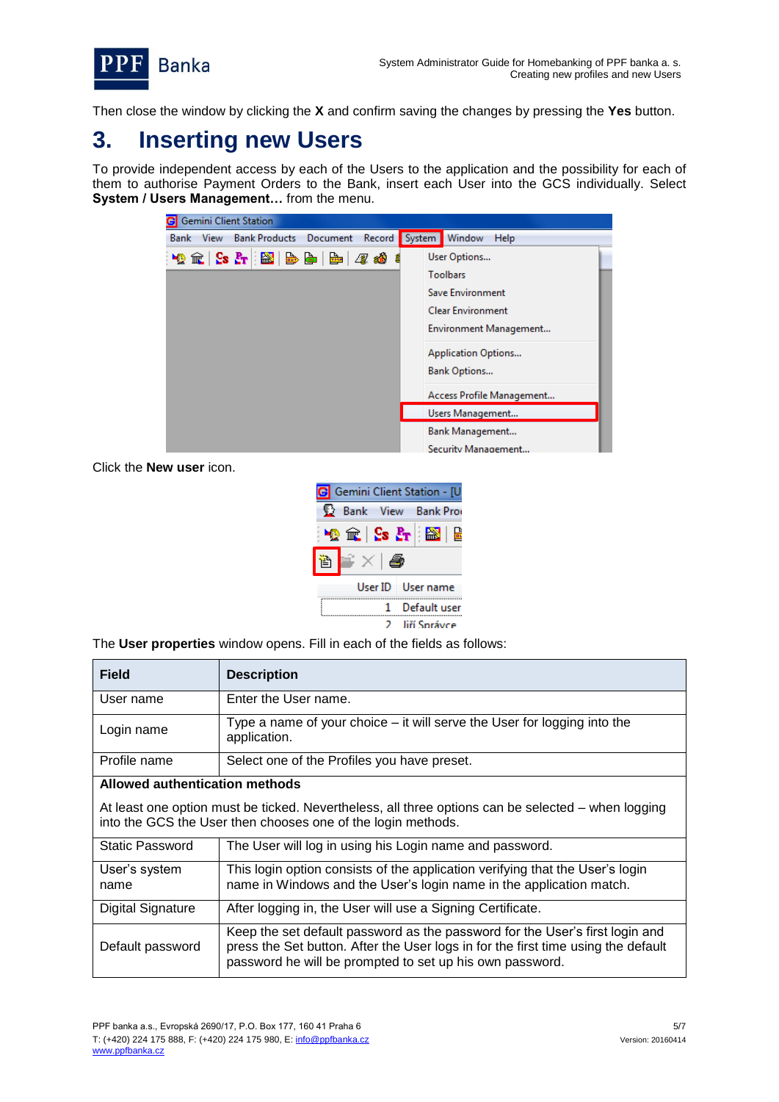

Then close the window by clicking the **X** and confirm saving the changes by pressing the **Yes** button.

## <span id="page-4-0"></span>**3. Inserting new Users**

To provide independent access by each of the Users to the application and the possibility for each of them to authorise Payment Orders to the Bank, insert each User into the GCS individually. Select **System / Users Management…** from the menu.

| <b>G</b> Gemini Client Station                                        |                            |
|-----------------------------------------------------------------------|----------------------------|
| <b>Bank Products</b> Document<br>Record<br><b>Bank</b><br><b>View</b> | System<br>Window<br>Help   |
|                                                                       | User Options               |
|                                                                       | <b>Toolbars</b>            |
|                                                                       | Save Environment           |
|                                                                       | <b>Clear Environment</b>   |
|                                                                       | Environment Management     |
|                                                                       | <b>Application Options</b> |
|                                                                       | <b>Bank Options</b>        |
|                                                                       | Access Profile Management  |
|                                                                       | Users Management           |
|                                                                       | Bank Management            |
|                                                                       | <b>Security Management</b> |

Click the **New user** icon.

| Gemini Client Station - [U |                                                                               |
|----------------------------|-------------------------------------------------------------------------------|
|                            | Bank View Bank Pro                                                            |
|                            | $\mathbb{E}$ $\mathbb{E}$ $\mathbb{E}$ $\mathbb{E}$ $\mathbb{E}$ $\mathbb{E}$ |
|                            |                                                                               |
|                            | User ID   User name                                                           |
|                            | Default user                                                                  |
|                            | liří Správce                                                                  |

The **User properties** window opens. Fill in each of the fields as follows:

| <b>Field</b>                   | <b>Description</b>                                                                                                                                                                                                            |
|--------------------------------|-------------------------------------------------------------------------------------------------------------------------------------------------------------------------------------------------------------------------------|
| User name                      | Enter the User name.                                                                                                                                                                                                          |
| Login name                     | Type a name of your choice – it will serve the User for logging into the<br>application.                                                                                                                                      |
| Profile name                   | Select one of the Profiles you have preset.                                                                                                                                                                                   |
| Allowed authentication methods |                                                                                                                                                                                                                               |
|                                | At least one option must be ticked. Nevertheless, all three options can be selected – when logging<br>into the GCS the User then chooses one of the login methods.                                                            |
| <b>Static Password</b>         | The User will log in using his Login name and password.                                                                                                                                                                       |
| User's system<br>name          | This login option consists of the application verifying that the User's login<br>name in Windows and the User's login name in the application match.                                                                          |
| <b>Digital Signature</b>       | After logging in, the User will use a Signing Certificate.                                                                                                                                                                    |
| Default password               | Keep the set default password as the password for the User's first login and<br>press the Set button. After the User logs in for the first time using the default<br>password he will be prompted to set up his own password. |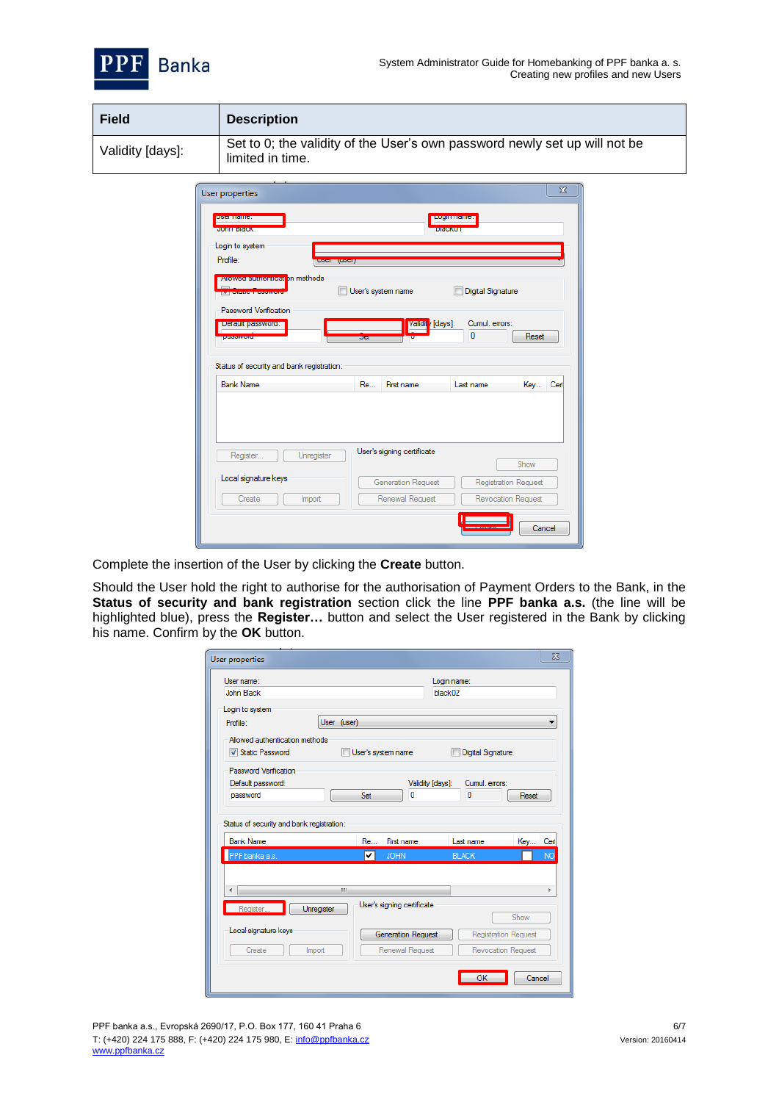

| <b>Field</b>     | <b>Description</b>                                                                             |
|------------------|------------------------------------------------------------------------------------------------|
| Validity [days]: | Set to 0; the validity of the User's own password newly set up will not be<br>limited in time. |

| User properties                                               |                               | $\overline{\mathbf{X}}$                |
|---------------------------------------------------------------|-------------------------------|----------------------------------------|
| <b>USCILIANIC.</b><br><b>JOHN DRICK</b>                       |                               | <b>EQUIPMENTS.</b><br><b>DIFICKULL</b> |
| Login to system                                               |                               |                                        |
| Profile:                                                      | <b>TUSSIT</b><br><b>EKICH</b> |                                        |
| <b>Allowed authentical</b> in methods                         | User's system name            | Digital Signature                      |
| <b>Password Verification</b>                                  |                               |                                        |
| Detault password:                                             | <b>Validit</b> [days]:        | Cumul, errors:                         |
| <b>SERVICES</b>                                               | oer.                          | $\bf{0}$<br>Reset                      |
| Status of security and bank registration:<br><b>Bank Name</b> | First name<br><b>Re</b>       | Last name<br>Key Cert                  |
|                                                               | User's signing certificate    |                                        |
| Unregister<br>Register                                        |                               | Show                                   |
| Local signature keys                                          | Generation Request            | <b>Registration Request</b>            |
|                                                               |                               |                                        |
| Create<br>Import                                              | Renewal Request               | Revocation Request                     |

Complete the insertion of the User by clicking the **Create** button.

Should the User hold the right to authorise for the authorisation of Payment Orders to the Bank, in the **Status of security and bank registration** section click the line **PPF banka a.s.** (the line will be highlighted blue), press the **Register…** button and select the User registered in the Bank by clicking his name. Confirm by the **OK** button.

| User name:                                            |             |     |                            | Login name:      |                   |                             |           |
|-------------------------------------------------------|-------------|-----|----------------------------|------------------|-------------------|-----------------------------|-----------|
| John Black                                            |             |     |                            | black02          |                   |                             |           |
| Login to system                                       |             |     |                            |                  |                   |                             |           |
| Profile:                                              | User (user) |     |                            |                  |                   |                             | ▼         |
| Allowed authentication methods                        |             |     |                            |                  |                   |                             |           |
| Static Password                                       |             |     | User's system name         |                  | Digital Signature |                             |           |
| <b>Password Verification</b>                          |             |     |                            |                  |                   |                             |           |
|                                                       |             |     |                            | Validity [days]: | Cumul emors:      |                             |           |
| Default password:                                     |             |     |                            |                  |                   |                             |           |
| password<br>Status of security and bank registration: |             | Set | n                          |                  | $\mathbf{0}$      | Reset                       |           |
| <b>Bank Name</b>                                      |             | Re  | First name                 |                  | Last name         | Key Cert                    |           |
| PPF banka a.s.                                        |             | ✓   | <b>JOHN</b>                |                  | <b>BLACK</b>      |                             | <b>NO</b> |
|                                                       |             |     |                            |                  |                   |                             | k         |
| ∢                                                     | Ш           |     |                            |                  |                   |                             |           |
| Register                                              | Unregister  |     | User's signing certificate |                  |                   | Show                        |           |
| Local signature keys                                  |             |     | Generation Request         |                  |                   | <b>Registration Request</b> |           |